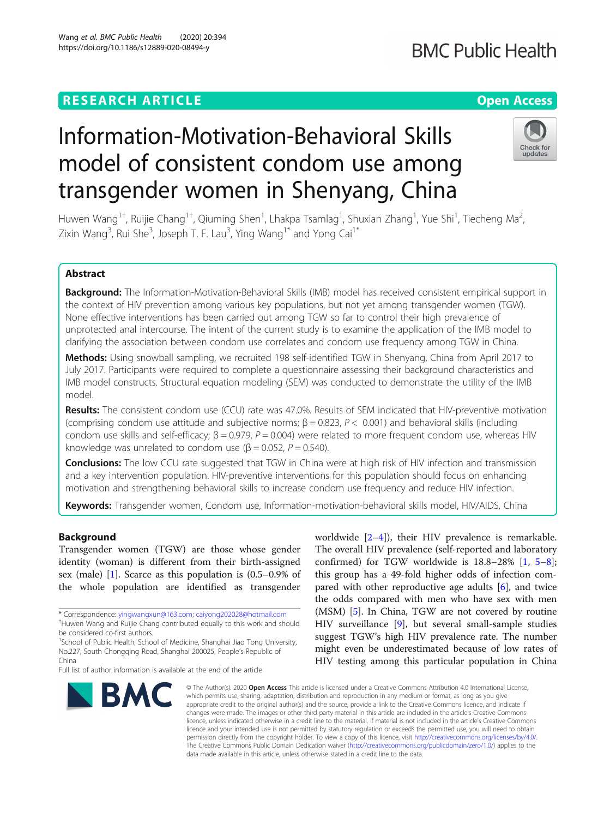# Information-Motivation-Behavioral Skills model of consistent condom use among transgender women in Shenyang, China

Huwen Wang<sup>1†</sup>, Ruijie Chang<sup>1†</sup>, Qiuming Shen<sup>1</sup>, Lhakpa Tsamlag<sup>1</sup>, Shuxian Zhang<sup>1</sup>, Yue Shi<sup>1</sup>, Tiecheng Ma<sup>2</sup> , Zixin Wang<sup>3</sup>, Rui She<sup>3</sup>, Joseph T. F. Lau<sup>3</sup>, Ying Wang<sup>1\*</sup> and Yong Cai<sup>1\*</sup>

### Abstract

Background: The Information-Motivation-Behavioral Skills (IMB) model has received consistent empirical support in the context of HIV prevention among various key populations, but not yet among transgender women (TGW). None effective interventions has been carried out among TGW so far to control their high prevalence of unprotected anal intercourse. The intent of the current study is to examine the application of the IMB model to clarifying the association between condom use correlates and condom use frequency among TGW in China.

Methods: Using snowball sampling, we recruited 198 self-identified TGW in Shenyang, China from April 2017 to July 2017. Participants were required to complete a questionnaire assessing their background characteristics and IMB model constructs. Structural equation modeling (SEM) was conducted to demonstrate the utility of the IMB model.

Results: The consistent condom use (CCU) rate was 47.0%. Results of SEM indicated that HIV-preventive motivation (comprising condom use attitude and subjective norms;  $\beta = 0.823$ ,  $P < 0.001$ ) and behavioral skills (including condom use skills and self-efficacy;  $\beta$  = 0.979, P = 0.004) were related to more frequent condom use, whereas HIV knowledge was unrelated to condom use ( $\beta$  = 0.052, P = 0.540).

**Conclusions:** The low CCU rate suggested that TGW in China were at high risk of HIV infection and transmission and a key intervention population. HIV-preventive interventions for this population should focus on enhancing motivation and strengthening behavioral skills to increase condom use frequency and reduce HIV infection.

Keywords: Transgender women, Condom use, Information-motivation-behavioral skills model, HIV/AIDS, China

#### Background

Transgender women (TGW) are those whose gender identity (woman) is different from their birth-assigned sex (male) [\[1](#page-7-0)]. Scarce as this population is (0.5–0.9% of the whole population are identified as transgender

worldwide  $[2-4]$  $[2-4]$  $[2-4]$  $[2-4]$ ), their HIV prevalence is remarkable. The overall HIV prevalence (self-reported and laboratory confirmed) for TGW worldwide is  $18.8-28\%$  $18.8-28\%$  $18.8-28\%$  [[1,](#page-7-0)  $5-8$  $5-8$ ]; this group has a 49-fold higher odds of infection compared with other reproductive age adults [[6\]](#page-7-0), and twice the odds compared with men who have sex with men (MSM) [\[5](#page-7-0)]. In China, TGW are not covered by routine HIV surveillance [\[9\]](#page-7-0), but several small-sample studies suggest TGW's high HIV prevalence rate. The number might even be underestimated because of low rates of HIV testing among this particular population in China

© The Author(s), 2020 **Open Access** This article is licensed under a Creative Commons Attribution 4.0 International License, which permits use, sharing, adaptation, distribution and reproduction in any medium or format, as long as you give appropriate credit to the original author(s) and the source, provide a link to the Creative Commons licence, and indicate if changes were made. The images or other third party material in this article are included in the article's Creative Commons licence, unless indicated otherwise in a credit line to the material. If material is not included in the article's Creative Commons licence and your intended use is not permitted by statutory regulation or exceeds the permitted use, you will need to obtain permission directly from the copyright holder. To view a copy of this licence, visit [http://creativecommons.org/licenses/by/4.0/.](http://creativecommons.org/licenses/by/4.0/) The Creative Commons Public Domain Dedication waiver [\(http://creativecommons.org/publicdomain/zero/1.0/](http://creativecommons.org/publicdomain/zero/1.0/)) applies to the data made available in this article, unless otherwise stated in a credit line to the data.

**BMC** 





<sup>\*</sup> Correspondence: [yingwangxun@163.com](mailto:yingwangxun@163.com); [caiyong202028@hotmail.com](mailto:caiyong202028@hotmail.com) † <sup>+</sup>Huwen Wang and Ruijie Chang contributed equally to this work and should be considered co-first authors.

<sup>&</sup>lt;sup>1</sup>School of Public Health, School of Medicine, Shanghai Jiao Tong University, No.227, South Chongqing Road, Shanghai 200025, People's Republic of China

Full list of author information is available at the end of the article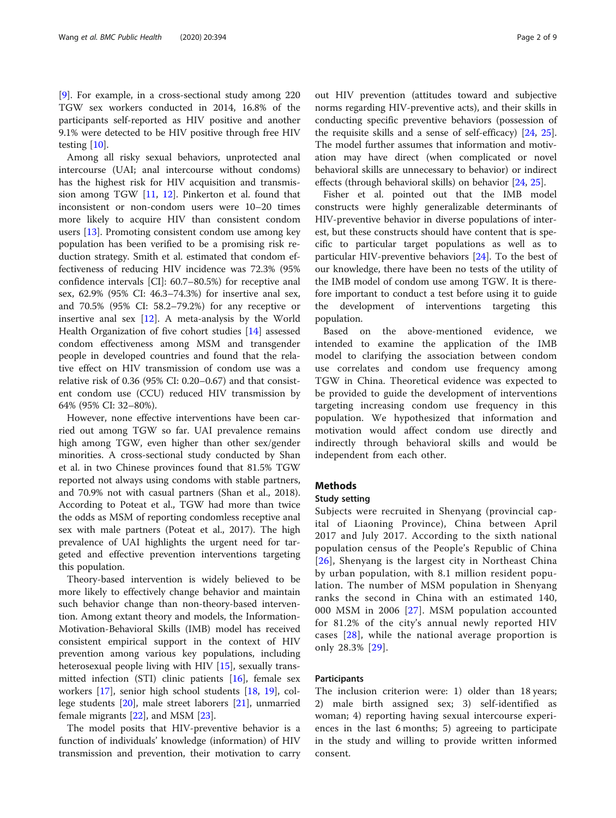[[9\]](#page-7-0). For example, in a cross-sectional study among 220 TGW sex workers conducted in 2014, 16.8% of the participants self-reported as HIV positive and another 9.1% were detected to be HIV positive through free HIV testing [\[10\]](#page-7-0).

Among all risky sexual behaviors, unprotected anal intercourse (UAI; anal intercourse without condoms) has the highest risk for HIV acquisition and transmission among TGW [\[11,](#page-7-0) [12](#page-7-0)]. Pinkerton et al. found that inconsistent or non-condom users were 10–20 times more likely to acquire HIV than consistent condom users [[13\]](#page-7-0). Promoting consistent condom use among key population has been verified to be a promising risk reduction strategy. Smith et al. estimated that condom effectiveness of reducing HIV incidence was 72.3% (95% confidence intervals [CI]: 60.7–80.5%) for receptive anal sex, 62.9% (95% CI: 46.3–74.3%) for insertive anal sex, and 70.5% (95% CI: 58.2–79.2%) for any receptive or insertive anal sex  $[12]$  $[12]$ . A meta-analysis by the World Health Organization of five cohort studies [\[14](#page-7-0)] assessed condom effectiveness among MSM and transgender people in developed countries and found that the relative effect on HIV transmission of condom use was a relative risk of 0.36 (95% CI: 0.20–0.67) and that consistent condom use (CCU) reduced HIV transmission by 64% (95% CI: 32–80%).

However, none effective interventions have been carried out among TGW so far. UAI prevalence remains high among TGW, even higher than other sex/gender minorities. A cross-sectional study conducted by Shan et al. in two Chinese provinces found that 81.5% TGW reported not always using condoms with stable partners, and 70.9% not with casual partners (Shan et al., 2018). According to Poteat et al., TGW had more than twice the odds as MSM of reporting condomless receptive anal sex with male partners (Poteat et al., 2017). The high prevalence of UAI highlights the urgent need for targeted and effective prevention interventions targeting this population.

Theory-based intervention is widely believed to be more likely to effectively change behavior and maintain such behavior change than non-theory-based intervention. Among extant theory and models, the Information-Motivation-Behavioral Skills (IMB) model has received consistent empirical support in the context of HIV prevention among various key populations, including heterosexual people living with HIV [\[15](#page-7-0)], sexually transmitted infection (STI) clinic patients  $[16]$  $[16]$ , female sex workers [\[17](#page-8-0)], senior high school students [\[18](#page-8-0), [19](#page-8-0)], college students [[20](#page-8-0)], male street laborers [\[21](#page-8-0)], unmarried female migrants [\[22](#page-8-0)], and MSM [[23\]](#page-8-0).

The model posits that HIV-preventive behavior is a function of individuals' knowledge (information) of HIV transmission and prevention, their motivation to carry out HIV prevention (attitudes toward and subjective norms regarding HIV-preventive acts), and their skills in conducting specific preventive behaviors (possession of the requisite skills and a sense of self-efficacy) [[24](#page-8-0), [25](#page-8-0)]. The model further assumes that information and motivation may have direct (when complicated or novel behavioral skills are unnecessary to behavior) or indirect effects (through behavioral skills) on behavior [\[24,](#page-8-0) [25\]](#page-8-0).

Fisher et al. pointed out that the IMB model constructs were highly generalizable determinants of HIV-preventive behavior in diverse populations of interest, but these constructs should have content that is specific to particular target populations as well as to particular HIV-preventive behaviors [\[24](#page-8-0)]. To the best of our knowledge, there have been no tests of the utility of the IMB model of condom use among TGW. It is therefore important to conduct a test before using it to guide the development of interventions targeting this population.

Based on the above-mentioned evidence, we intended to examine the application of the IMB model to clarifying the association between condom use correlates and condom use frequency among TGW in China. Theoretical evidence was expected to be provided to guide the development of interventions targeting increasing condom use frequency in this population. We hypothesized that information and motivation would affect condom use directly and indirectly through behavioral skills and would be independent from each other.

#### **Methods**

#### Study setting

Subjects were recruited in Shenyang (provincial capital of Liaoning Province), China between April 2017 and July 2017. According to the sixth national population census of the People's Republic of China [[26](#page-8-0)], Shenyang is the largest city in Northeast China by urban population, with 8.1 million resident population. The number of MSM population in Shenyang ranks the second in China with an estimated 140, 000 MSM in 2006 [[27\]](#page-8-0). MSM population accounted for 81.2% of the city's annual newly reported HIV cases [[28](#page-8-0)], while the national average proportion is only 28.3% [\[29\]](#page-8-0).

#### Participants

The inclusion criterion were: 1) older than 18 years; 2) male birth assigned sex; 3) self-identified as woman; 4) reporting having sexual intercourse experiences in the last 6 months; 5) agreeing to participate in the study and willing to provide written informed consent.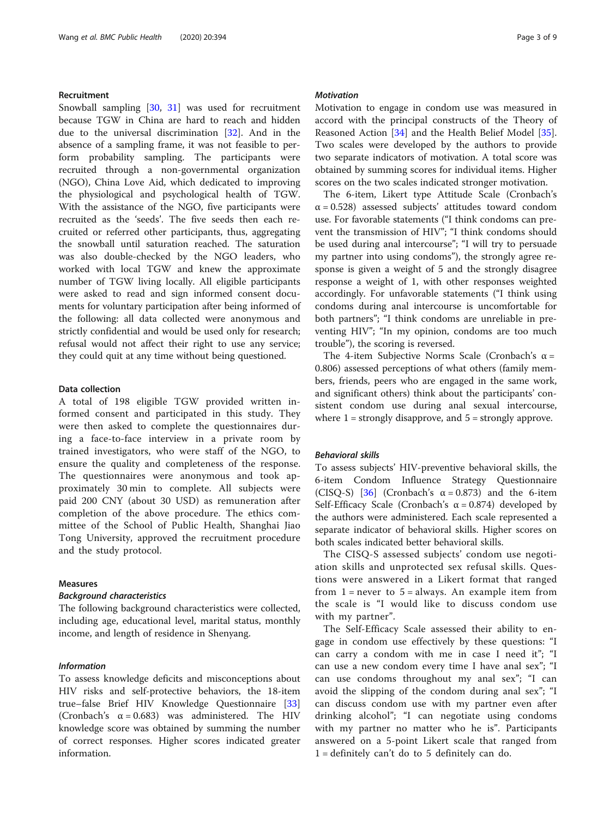#### Recruitment

Snowball sampling [[30](#page-8-0), [31\]](#page-8-0) was used for recruitment because TGW in China are hard to reach and hidden due to the universal discrimination [[32\]](#page-8-0). And in the absence of a sampling frame, it was not feasible to perform probability sampling. The participants were recruited through a non-governmental organization (NGO), China Love Aid, which dedicated to improving the physiological and psychological health of TGW. With the assistance of the NGO, five participants were recruited as the 'seeds'. The five seeds then each recruited or referred other participants, thus, aggregating the snowball until saturation reached. The saturation was also double-checked by the NGO leaders, who worked with local TGW and knew the approximate number of TGW living locally. All eligible participants were asked to read and sign informed consent documents for voluntary participation after being informed of the following: all data collected were anonymous and strictly confidential and would be used only for research; refusal would not affect their right to use any service; they could quit at any time without being questioned.

#### Data collection

A total of 198 eligible TGW provided written informed consent and participated in this study. They were then asked to complete the questionnaires during a face-to-face interview in a private room by trained investigators, who were staff of the NGO, to ensure the quality and completeness of the response. The questionnaires were anonymous and took approximately 30 min to complete. All subjects were paid 200 CNY (about 30 USD) as remuneration after completion of the above procedure. The ethics committee of the School of Public Health, Shanghai Jiao Tong University, approved the recruitment procedure and the study protocol.

#### Measures

#### Background characteristics

The following background characteristics were collected, including age, educational level, marital status, monthly income, and length of residence in Shenyang.

#### Information

To assess knowledge deficits and misconceptions about HIV risks and self-protective behaviors, the 18-item true–false Brief HIV Knowledge Questionnaire [[33](#page-8-0)] (Cronbach's  $\alpha = 0.683$ ) was administered. The HIV knowledge score was obtained by summing the number of correct responses. Higher scores indicated greater information.

#### **Motivation**

Motivation to engage in condom use was measured in accord with the principal constructs of the Theory of Reasoned Action [\[34](#page-8-0)] and the Health Belief Model [\[35](#page-8-0)]. Two scales were developed by the authors to provide two separate indicators of motivation. A total score was obtained by summing scores for individual items. Higher scores on the two scales indicated stronger motivation.

The 6-item, Likert type Attitude Scale (Cronbach's  $\alpha$  = 0.528) assessed subjects' attitudes toward condom use. For favorable statements ("I think condoms can prevent the transmission of HIV"; "I think condoms should be used during anal intercourse"; "I will try to persuade my partner into using condoms"), the strongly agree response is given a weight of 5 and the strongly disagree response a weight of 1, with other responses weighted accordingly. For unfavorable statements ("I think using condoms during anal intercourse is uncomfortable for both partners"; "I think condoms are unreliable in preventing HIV"; "In my opinion, condoms are too much trouble"), the scoring is reversed.

The 4-item Subjective Norms Scale (Cronbach's  $\alpha$  = 0.806) assessed perceptions of what others (family members, friends, peers who are engaged in the same work, and significant others) think about the participants' consistent condom use during anal sexual intercourse, where  $1 =$  strongly disapprove, and  $5 =$  strongly approve.

#### Behavioral skills

To assess subjects' HIV-preventive behavioral skills, the 6-item Condom Influence Strategy Questionnaire (CISQ-S)  $\begin{bmatrix} 36 \\ 0 \end{bmatrix}$  (Cronbach's  $\alpha = 0.873$ ) and the 6-item Self-Efficacy Scale (Cronbach's  $\alpha = 0.874$ ) developed by the authors were administered. Each scale represented a separate indicator of behavioral skills. Higher scores on both scales indicated better behavioral skills.

The CISQ-S assessed subjects' condom use negotiation skills and unprotected sex refusal skills. Questions were answered in a Likert format that ranged from  $1 =$  never to  $5 =$  always. An example item from the scale is "I would like to discuss condom use with my partner".

The Self-Efficacy Scale assessed their ability to engage in condom use effectively by these questions: "I can carry a condom with me in case I need it"; "I can use a new condom every time I have anal sex"; "I can use condoms throughout my anal sex"; "I can avoid the slipping of the condom during anal sex"; "I can discuss condom use with my partner even after drinking alcohol"; "I can negotiate using condoms with my partner no matter who he is". Participants answered on a 5-point Likert scale that ranged from 1 = definitely can't do to 5 definitely can do.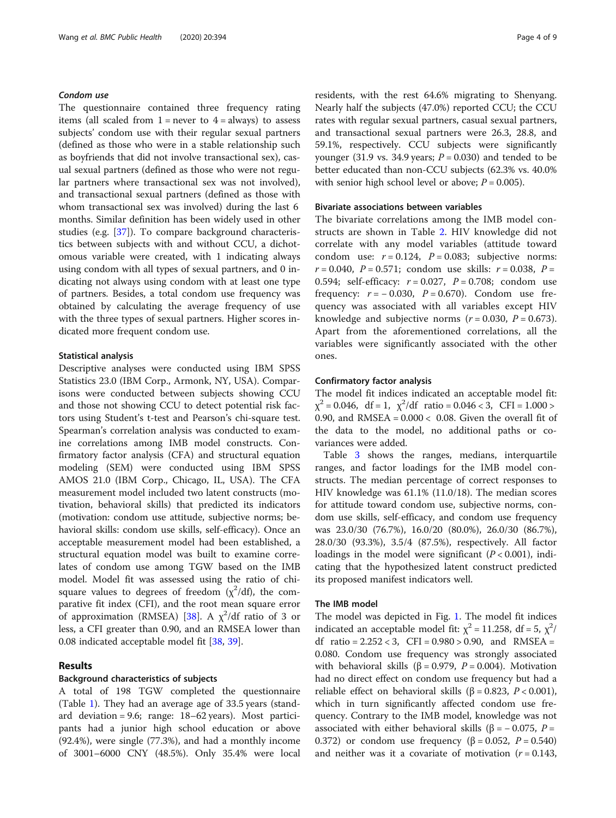#### Condom use

The questionnaire contained three frequency rating items (all scaled from  $1 =$  never to  $4 =$  always) to assess subjects' condom use with their regular sexual partners (defined as those who were in a stable relationship such as boyfriends that did not involve transactional sex), casual sexual partners (defined as those who were not regular partners where transactional sex was not involved), and transactional sexual partners (defined as those with whom transactional sex was involved) during the last 6 months. Similar definition has been widely used in other studies (e.g. [[37\]](#page-8-0)). To compare background characteristics between subjects with and without CCU, a dichotomous variable were created, with 1 indicating always using condom with all types of sexual partners, and 0 indicating not always using condom with at least one type of partners. Besides, a total condom use frequency was obtained by calculating the average frequency of use with the three types of sexual partners. Higher scores indicated more frequent condom use.

#### Statistical analysis

Descriptive analyses were conducted using IBM SPSS Statistics 23.0 (IBM Corp., Armonk, NY, USA). Comparisons were conducted between subjects showing CCU and those not showing CCU to detect potential risk factors using Student's t-test and Pearson's chi-square test. Spearman's correlation analysis was conducted to examine correlations among IMB model constructs. Confirmatory factor analysis (CFA) and structural equation modeling (SEM) were conducted using IBM SPSS AMOS 21.0 (IBM Corp., Chicago, IL, USA). The CFA measurement model included two latent constructs (motivation, behavioral skills) that predicted its indicators (motivation: condom use attitude, subjective norms; behavioral skills: condom use skills, self-efficacy). Once an acceptable measurement model had been established, a structural equation model was built to examine correlates of condom use among TGW based on the IMB model. Model fit was assessed using the ratio of chisquare values to degrees of freedom  $(\chi^2/df)$ , the comparative fit index (CFI), and the root mean square error of approximation (RMSEA) [\[38](#page-8-0)]. A  $\chi^2$ /df ratio of 3 or less, a CFI greater than 0.90, and an RMSEA lower than 0.08 indicated acceptable model fit [\[38](#page-8-0), [39\]](#page-8-0).

#### Results

#### Background characteristics of subjects

A total of 198 TGW completed the questionnaire (Table [1](#page-4-0)). They had an average age of 33.5 years (standard deviation = 9.6; range: 18–62 years). Most participants had a junior high school education or above (92.4%), were single (77.3%), and had a monthly income of 3001–6000 CNY (48.5%). Only 35.4% were local residents, with the rest 64.6% migrating to Shenyang. Nearly half the subjects (47.0%) reported CCU; the CCU rates with regular sexual partners, casual sexual partners, and transactional sexual partners were 26.3, 28.8, and 59.1%, respectively. CCU subjects were significantly younger (31.9 vs. 34.9 years;  $P = 0.030$ ) and tended to be better educated than non-CCU subjects (62.3% vs. 40.0% with senior high school level or above;  $P = 0.005$ ).

#### Bivariate associations between variables

The bivariate correlations among the IMB model constructs are shown in Table [2](#page-4-0). HIV knowledge did not correlate with any model variables (attitude toward condom use:  $r = 0.124$ ,  $P = 0.083$ ; subjective norms:  $r = 0.040$ ,  $P = 0.571$ ; condom use skills:  $r = 0.038$ ,  $P =$ 0.594; self-efficacy:  $r = 0.027$ ,  $P = 0.708$ ; condom use frequency:  $r = -0.030$ ,  $P = 0.670$ ). Condom use frequency was associated with all variables except HIV knowledge and subjective norms  $(r = 0.030, P = 0.673)$ . Apart from the aforementioned correlations, all the variables were significantly associated with the other ones.

#### Confirmatory factor analysis

The model fit indices indicated an acceptable model fit:  $\chi^2$  = 0.046, df = 1,  $\chi^2$ /df ratio = 0.046 < 3, CFI = 1.000 > 0.90, and RMSEA =  $0.000 < 0.08$ . Given the overall fit of the data to the model, no additional paths or covariances were added.

Table [3](#page-5-0) shows the ranges, medians, interquartile ranges, and factor loadings for the IMB model constructs. The median percentage of correct responses to HIV knowledge was 61.1% (11.0/18). The median scores for attitude toward condom use, subjective norms, condom use skills, self-efficacy, and condom use frequency was 23.0/30 (76.7%), 16.0/20 (80.0%), 26.0/30 (86.7%), 28.0/30 (93.3%), 3.5/4 (87.5%), respectively. All factor loadings in the model were significant  $(P < 0.001)$ , indicating that the hypothesized latent construct predicted its proposed manifest indicators well.

#### The IMB model

The model was depicted in Fig. [1](#page-5-0). The model fit indices indicated an acceptable model fit:  $\chi^2$  = 11.258, df = 5,  $\chi^2$ / df ratio =  $2.252 < 3$ , CFI =  $0.980 > 0.90$ , and RMSEA = 0.080. Condom use frequency was strongly associated with behavioral skills (β = 0.979,  $P = 0.004$ ). Motivation had no direct effect on condom use frequency but had a reliable effect on behavioral skills (β = 0.823,  $P < 0.001$ ), which in turn significantly affected condom use frequency. Contrary to the IMB model, knowledge was not associated with either behavioral skills (β =  $-$  0.075, P = 0.372) or condom use frequency (β = 0.052,  $P = 0.540$ ) and neither was it a covariate of motivation  $(r = 0.143,$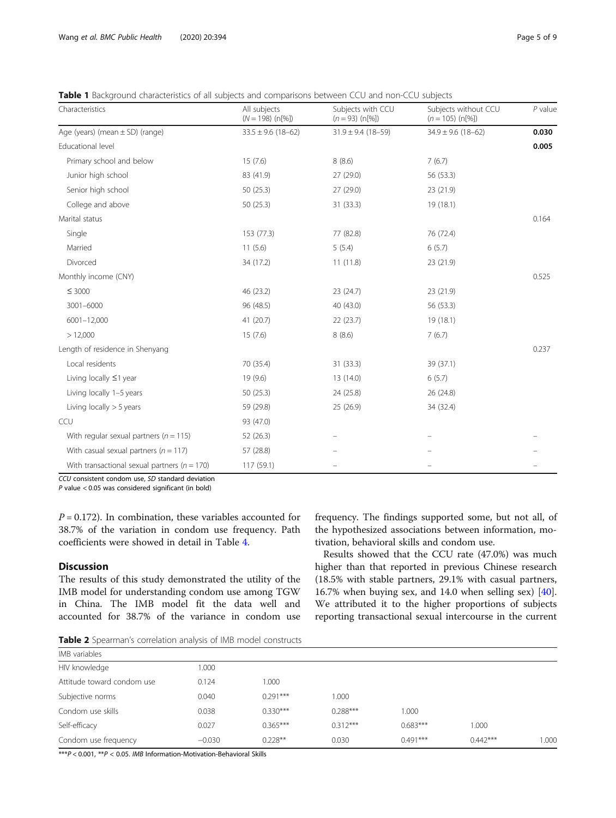<span id="page-4-0"></span>Table 1 Background characteristics of all subjects and comparisons between CCU and non-CCU subjects

| Characteristics                                  | All subjects<br>$(N = 198)$ (n[%]) | Subjects with CCU<br>$(n = 93)$ (n[%]) | Subjects without CCU<br>$(n = 105)$ (n[%]) | $P$ value |
|--------------------------------------------------|------------------------------------|----------------------------------------|--------------------------------------------|-----------|
| Age (years) (mean $\pm$ SD) (range)              | $33.5 \pm 9.6$ (18-62)             | $31.9 \pm 9.4$ (18-59)                 | $34.9 \pm 9.6$ (18-62)                     | 0.030     |
| Educational level                                |                                    |                                        |                                            | 0.005     |
| Primary school and below                         | 15(7.6)                            | 8(8.6)                                 | 7(6.7)                                     |           |
| Junior high school                               | 83 (41.9)                          | 27 (29.0)                              | 56 (53.3)                                  |           |
| Senior high school                               | 50 (25.3)                          | 27 (29.0)                              | 23 (21.9)                                  |           |
| College and above                                | 50 (25.3)                          | 31 (33.3)                              | 19 (18.1)                                  |           |
| Marital status                                   |                                    |                                        |                                            | 0.164     |
| Single                                           | 153 (77.3)                         | 77 (82.8)                              | 76 (72.4)                                  |           |
| Married                                          | 11(5.6)                            | 5(5.4)                                 | 6(5.7)                                     |           |
| Divorced                                         | 34 (17.2)                          | 11(11.8)                               | 23 (21.9)                                  |           |
| Monthly income (CNY)                             |                                    |                                        |                                            | 0.525     |
| $\leq 3000$                                      | 46 (23.2)                          | 23(24.7)                               | 23(21.9)                                   |           |
| 3001-6000                                        | 96 (48.5)                          | 40 (43.0)                              | 56 (53.3)                                  |           |
| 6001-12,000                                      | 41 (20.7)                          | 22(23.7)                               | 19 (18.1)                                  |           |
| > 12,000                                         | 15(7.6)                            | 8(8.6)                                 | 7(6.7)                                     |           |
| Length of residence in Shenyang                  |                                    |                                        |                                            | 0.237     |
| Local residents                                  | 70 (35.4)                          | 31 (33.3)                              | 39 (37.1)                                  |           |
| Living locally ≤1 year                           | 19 (9.6)                           | 13 (14.0)                              | 6(5.7)                                     |           |
| Living locally 1-5 years                         | 50 (25.3)                          | 24 (25.8)                              | 26 (24.8)                                  |           |
| Living locally $>$ 5 years                       | 59 (29.8)                          | 25 (26.9)                              | 34 (32.4)                                  |           |
| CCU                                              | 93 (47.0)                          |                                        |                                            |           |
| With regular sexual partners ( $n = 115$ )       | 52 (26.3)                          |                                        |                                            |           |
| With casual sexual partners ( $n = 117$ )        | 57 (28.8)                          |                                        |                                            |           |
| With transactional sexual partners ( $n = 170$ ) | 117 (59.1)                         |                                        |                                            |           |

CCU consistent condom use, SD standard deviation

P value < 0.05 was considered significant (in bold)

 $P = 0.172$ ). In combination, these variables accounted for 38.7% of the variation in condom use frequency. Path coefficients were showed in detail in Table [4](#page-6-0).

#### **Discussion**

The results of this study demonstrated the utility of the IMB model for understanding condom use among TGW in China. The IMB model fit the data well and accounted for 38.7% of the variance in condom use frequency. The findings supported some, but not all, of the hypothesized associations between information, motivation, behavioral skills and condom use.

Results showed that the CCU rate (47.0%) was much higher than that reported in previous Chinese research (18.5% with stable partners, 29.1% with casual partners, 16.7% when buying sex, and 14.0 when selling sex) [\[40](#page-8-0)]. We attributed it to the higher proportions of subjects reporting transactional sexual intercourse in the current

**Table 2** Spearman's correlation analysis of IMB model constructs

| IMB variables              |          |            |            |            |            |       |
|----------------------------|----------|------------|------------|------------|------------|-------|
| HIV knowledge              | 000.1    |            |            |            |            |       |
| Attitude toward condom use | 0.124    | 1.000      |            |            |            |       |
| Subjective norms           | 0.040    | $0.291***$ | 1.000      |            |            |       |
| Condom use skills          | 0.038    | $0.330***$ | $0.288***$ | 1.000      |            |       |
| Self-efficacy              | 0.027    | $0.365***$ | $0.312***$ | $0.683***$ | 1.000      |       |
| Condom use frequency       | $-0.030$ | $0.228**$  | 0.030      | $0.491***$ | $0.442***$ | 1.000 |
|                            |          |            |            |            |            |       |

 $***P < 0.001,***P < 0.05.$  IMB Information-Motivation-Behavioral Skills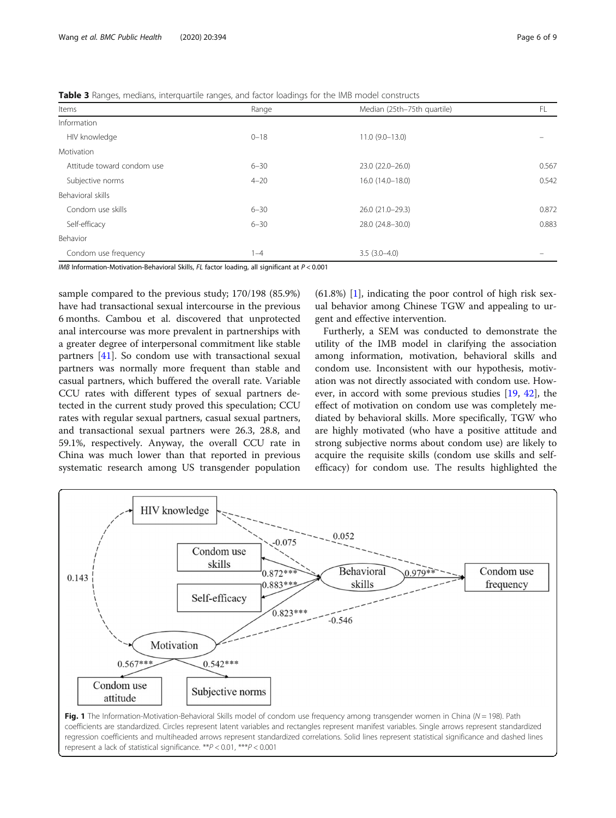<span id="page-5-0"></span>**Table 3** Ranges, medians, interquartile ranges, and factor loadings for the IMB model constructs

| Items                      | Range    | Median (25th-75th quartile) | FL    |
|----------------------------|----------|-----------------------------|-------|
| Information                |          |                             |       |
| HIV knowledge              | $0 - 18$ | $11.0(9.0-13.0)$            |       |
| Motivation                 |          |                             |       |
| Attitude toward condom use | $6 - 30$ | 23.0 (22.0-26.0)            | 0.567 |
| Subjective norms           | $4 - 20$ | 16.0 (14.0-18.0)            | 0.542 |
| Behavioral skills          |          |                             |       |
| Condom use skills          | $6 - 30$ | 26.0 (21.0-29.3)            | 0.872 |
| Self-efficacy              | $6 - 30$ | 28.0 (24.8-30.0)            | 0.883 |
| Behavior                   |          |                             |       |
| Condom use frequency       | 1–4      | $3.5(3.0-4.0)$              |       |

IMB Information-Motivation-Behavioral Skills, FL factor loading, all significant at P < 0.001

sample compared to the previous study; 170/198 (85.9%) have had transactional sexual intercourse in the previous 6 months. Cambou et al. discovered that unprotected anal intercourse was more prevalent in partnerships with a greater degree of interpersonal commitment like stable partners [[41\]](#page-8-0). So condom use with transactional sexual partners was normally more frequent than stable and casual partners, which buffered the overall rate. Variable CCU rates with different types of sexual partners detected in the current study proved this speculation; CCU rates with regular sexual partners, casual sexual partners, and transactional sexual partners were 26.3, 28.8, and 59.1%, respectively. Anyway, the overall CCU rate in China was much lower than that reported in previous systematic research among US transgender population

 $(61.8\%)$  [\[1](#page-7-0)], indicating the poor control of high risk sexual behavior among Chinese TGW and appealing to urgent and effective intervention.

Furtherly, a SEM was conducted to demonstrate the utility of the IMB model in clarifying the association among information, motivation, behavioral skills and condom use. Inconsistent with our hypothesis, motivation was not directly associated with condom use. However, in accord with some previous studies [[19,](#page-8-0) [42\]](#page-8-0), the effect of motivation on condom use was completely mediated by behavioral skills. More specifically, TGW who are highly motivated (who have a positive attitude and strong subjective norms about condom use) are likely to acquire the requisite skills (condom use skills and selfefficacy) for condom use. The results highlighted the



coefficients are standardized. Circles represent latent variables and rectangles represent manifest variables. Single arrows represent standardized regression coefficients and multiheaded arrows represent standardized correlations. Solid lines represent statistical significance and dashed lines represent a lack of statistical significance. \*\*P < 0.01, \*\*\*P < 0.001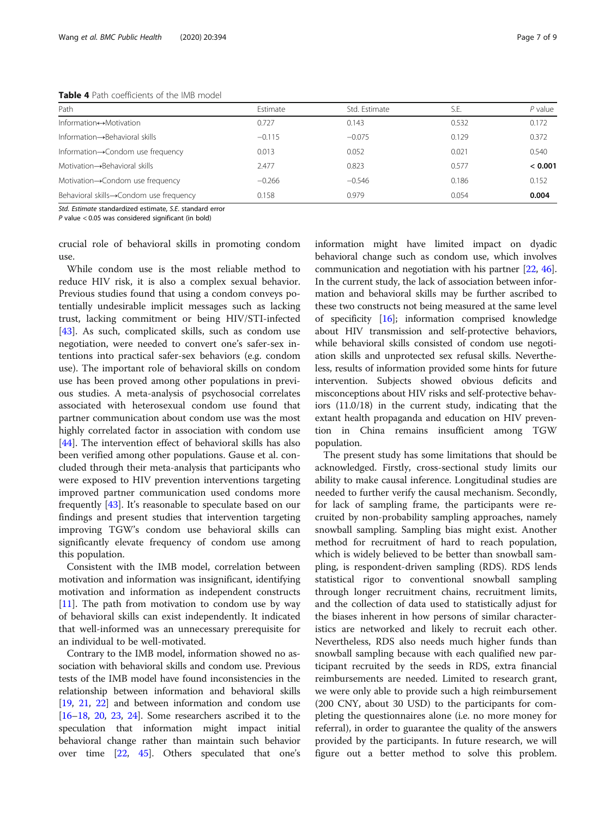#### <span id="page-6-0"></span>Table 4 Path coefficients of the IMB model

| Path                                     | Estimate | Std. Estimate | S.E.  | $P$ value |
|------------------------------------------|----------|---------------|-------|-----------|
| Information $\leftrightarrow$ Motivation | 0.727    | 0.143         | 0.532 | 0.172     |
| Information -> Behavioral skills         | $-0.115$ | $-0.075$      | 0.129 | 0.372     |
| Information->Condom use frequency        | 0.013    | 0.052         | 0.021 | 0.540     |
| Motivation->Behavioral skills            | 2.477    | 0.823         | 0.577 | < 0.001   |
| Motivation→Condom use frequency          | $-0.266$ | $-0.546$      | 0.186 | 0.152     |
| Behavioral skills→Condom use frequency   | 0.158    | 0.979         | 0.054 | 0.004     |

Std. Estimate standardized estimate, S.E. standard error

P value < 0.05 was considered significant (in bold)

crucial role of behavioral skills in promoting condom use.

While condom use is the most reliable method to reduce HIV risk, it is also a complex sexual behavior. Previous studies found that using a condom conveys potentially undesirable implicit messages such as lacking trust, lacking commitment or being HIV/STI-infected [[43\]](#page-8-0). As such, complicated skills, such as condom use negotiation, were needed to convert one's safer-sex intentions into practical safer-sex behaviors (e.g. condom use). The important role of behavioral skills on condom use has been proved among other populations in previous studies. A meta-analysis of psychosocial correlates associated with heterosexual condom use found that partner communication about condom use was the most highly correlated factor in association with condom use [[44\]](#page-8-0). The intervention effect of behavioral skills has also been verified among other populations. Gause et al. concluded through their meta-analysis that participants who were exposed to HIV prevention interventions targeting improved partner communication used condoms more frequently [\[43](#page-8-0)]. It's reasonable to speculate based on our findings and present studies that intervention targeting improving TGW's condom use behavioral skills can significantly elevate frequency of condom use among this population.

Consistent with the IMB model, correlation between motivation and information was insignificant, identifying motivation and information as independent constructs [[11\]](#page-7-0). The path from motivation to condom use by way of behavioral skills can exist independently. It indicated that well-informed was an unnecessary prerequisite for an individual to be well-motivated.

Contrary to the IMB model, information showed no association with behavioral skills and condom use. Previous tests of the IMB model have found inconsistencies in the relationship between information and behavioral skills [[19](#page-8-0), [21,](#page-8-0) [22](#page-8-0)] and between information and condom use [[16](#page-8-0)–[18,](#page-8-0) [20,](#page-8-0) [23,](#page-8-0) [24\]](#page-8-0). Some researchers ascribed it to the speculation that information might impact initial behavioral change rather than maintain such behavior over time [\[22,](#page-8-0) [45\]](#page-8-0). Others speculated that one's information might have limited impact on dyadic behavioral change such as condom use, which involves communication and negotiation with his partner [[22](#page-8-0), [46](#page-8-0)]. In the current study, the lack of association between information and behavioral skills may be further ascribed to these two constructs not being measured at the same level of specificity [[16](#page-8-0)]; information comprised knowledge about HIV transmission and self-protective behaviors, while behavioral skills consisted of condom use negotiation skills and unprotected sex refusal skills. Nevertheless, results of information provided some hints for future intervention. Subjects showed obvious deficits and misconceptions about HIV risks and self-protective behaviors (11.0/18) in the current study, indicating that the extant health propaganda and education on HIV prevention in China remains insufficient among TGW population.

The present study has some limitations that should be acknowledged. Firstly, cross-sectional study limits our ability to make causal inference. Longitudinal studies are needed to further verify the causal mechanism. Secondly, for lack of sampling frame, the participants were recruited by non-probability sampling approaches, namely snowball sampling. Sampling bias might exist. Another method for recruitment of hard to reach population, which is widely believed to be better than snowball sampling, is respondent-driven sampling (RDS). RDS lends statistical rigor to conventional snowball sampling through longer recruitment chains, recruitment limits, and the collection of data used to statistically adjust for the biases inherent in how persons of similar characteristics are networked and likely to recruit each other. Nevertheless, RDS also needs much higher funds than snowball sampling because with each qualified new participant recruited by the seeds in RDS, extra financial reimbursements are needed. Limited to research grant, we were only able to provide such a high reimbursement (200 CNY, about 30 USD) to the participants for completing the questionnaires alone (i.e. no more money for referral), in order to guarantee the quality of the answers provided by the participants. In future research, we will figure out a better method to solve this problem.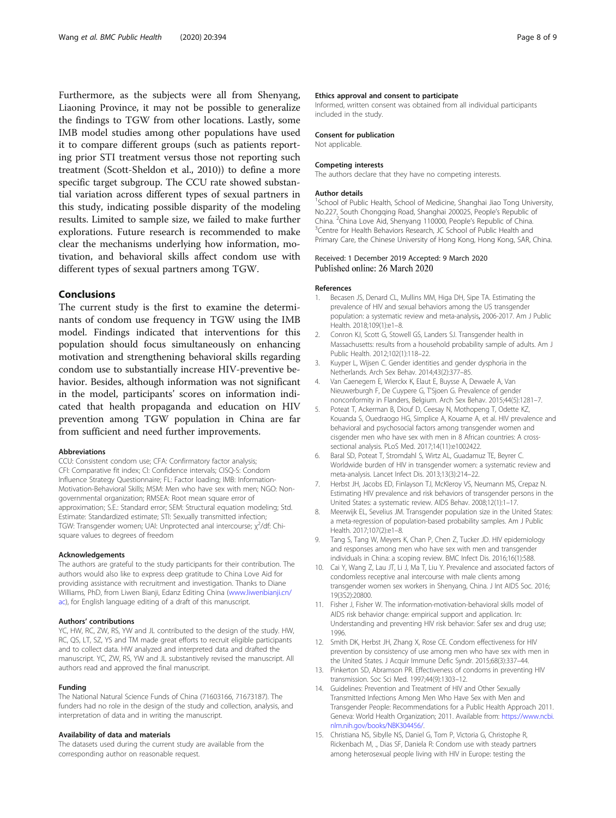<span id="page-7-0"></span>Furthermore, as the subjects were all from Shenyang, Liaoning Province, it may not be possible to generalize the findings to TGW from other locations. Lastly, some IMB model studies among other populations have used it to compare different groups (such as patients reporting prior STI treatment versus those not reporting such treatment (Scott-Sheldon et al., 2010)) to define a more specific target subgroup. The CCU rate showed substantial variation across different types of sexual partners in this study, indicating possible disparity of the modeling results. Limited to sample size, we failed to make further explorations. Future research is recommended to make clear the mechanisms underlying how information, motivation, and behavioral skills affect condom use with different types of sexual partners among TGW.

#### Conclusions

The current study is the first to examine the determinants of condom use frequency in TGW using the IMB model. Findings indicated that interventions for this population should focus simultaneously on enhancing motivation and strengthening behavioral skills regarding condom use to substantially increase HIV-preventive behavior. Besides, although information was not significant in the model, participants' scores on information indicated that health propaganda and education on HIV prevention among TGW population in China are far from sufficient and need further improvements.

#### Abbreviations

CCU: Consistent condom use; CFA: Confirmatory factor analysis; CFI: Comparative fit index; CI: Confidence intervals; CISQ-S: Condom Influence Strategy Questionnaire; FL: Factor loading; IMB: Information-Motivation-Behavioral Skills; MSM: Men who have sex with men; NGO: Nongovernmental organization; RMSEA: Root mean square error of approximation; S.E.: Standard error; SEM: Structural equation modeling; Std. Estimate: Standardized estimate; STI: Sexually transmitted infection; TGW: Transgender women; UAI: Unprotected anal intercourse; χ<sup>2</sup>/df: Chisquare values to degrees of freedom

#### Acknowledgements

The authors are grateful to the study participants for their contribution. The authors would also like to express deep gratitude to China Love Aid for providing assistance with recruitment and investigation. Thanks to Diane Williams, PhD, from Liwen Bianji, Edanz Editing China [\(www.liwenbianji.cn/](http://www.liwenbianji.cn/ac) [ac](http://www.liwenbianji.cn/ac)), for English language editing of a draft of this manuscript.

#### Authors' contributions

YC, HW, RC, ZW, RS, YW and JL contributed to the design of the study. HW, RC, QS, LT, SZ, YS and TM made great efforts to recruit eligible participants and to collect data. HW analyzed and interpreted data and drafted the manuscript. YC, ZW, RS, YW and JL substantively revised the manuscript. All authors read and approved the final manuscript.

#### Funding

The National Natural Science Funds of China (71603166, 71673187). The funders had no role in the design of the study and collection, analysis, and interpretation of data and in writing the manuscript.

#### Availability of data and materials

The datasets used during the current study are available from the corresponding author on reasonable request.

#### Ethics approval and consent to participate

Informed, written consent was obtained from all individual participants included in the study.

#### Consent for publication

Not applicable.

#### Competing interests

The authors declare that they have no competing interests.

#### Author details

<sup>1</sup>School of Public Health, School of Medicine, Shanghai Jiao Tong University No.227, South Chongqing Road, Shanghai 200025, People's Republic of China. <sup>2</sup> China Love Aid, Shenyang 110000, People's Republic of China.<br><sup>3</sup> Contra for Hoalth Bobaviers Research. IS School of Public Hoalth and <sup>3</sup> Centre for Health Behaviors Research, JC School of Public Health and Primary Care, the Chinese University of Hong Kong, Hong Kong, SAR, China.

## Received: 1 December 2019 Accepted: 9 March 2020<br>Published online: 26 March 2020

#### References

- 1. Becasen JS, Denard CL, Mullins MM, Higa DH, Sipe TA. Estimating the prevalence of HIV and sexual behaviors among the US transgender population: a systematic review and meta-analysis, 2006-2017. Am J Public Health. 2018;109(1):e1–8.
- 2. Conron KJ, Scott G, Stowell GS, Landers SJ. Transgender health in Massachusetts: results from a household probability sample of adults. Am J Public Health. 2012;102(1):118–22.
- 3. Kuyper L, Wijsen C. Gender identities and gender dysphoria in the Netherlands. Arch Sex Behav. 2014;43(2):377–85.
- 4. Van Caenegem E, Wierckx K, Elaut E, Buysse A, Dewaele A, Van Nieuwerburgh F, De Cuypere G, T'Sjoen G. Prevalence of gender nonconformity in Flanders, Belgium. Arch Sex Behav. 2015;44(5):1281–7.
- 5. Poteat T, Ackerman B, Diouf D, Ceesay N, Mothopeng T, Odette KZ, Kouanda S, Ouedraogo HG, Simplice A, Kouame A, et al. HIV prevalence and behavioral and psychosocial factors among transgender women and cisgender men who have sex with men in 8 African countries: A crosssectional analysis. PLoS Med. 2017;14(11):e1002422.
- 6. Baral SD, Poteat T, Stromdahl S, Wirtz AL, Guadamuz TE, Beyrer C. Worldwide burden of HIV in transgender women: a systematic review and meta-analysis. Lancet Infect Dis. 2013;13(3):214–22.
- 7. Herbst JH, Jacobs ED, Finlayson TJ, McKleroy VS, Neumann MS, Crepaz N. Estimating HIV prevalence and risk behaviors of transgender persons in the United States: a systematic review. AIDS Behav. 2008;12(1):1–17.
- 8. Meerwijk EL, Sevelius JM. Transgender population size in the United States: a meta-regression of population-based probability samples. Am J Public Health. 2017;107(2):e1–8.
- Tang S, Tang W, Meyers K, Chan P, Chen Z, Tucker JD. HIV epidemiology and responses among men who have sex with men and transgender individuals in China: a scoping review. BMC Infect Dis. 2016;16(1):588.
- 10. Cai Y, Wang Z, Lau JT, Li J, Ma T, Liu Y. Prevalence and associated factors of condomless receptive anal intercourse with male clients among transgender women sex workers in Shenyang, China. J Int AIDS Soc. 2016; 19(3S2):20800.
- 11. Fisher J, Fisher W. The information-motivation-behavioral skills model of AIDS risk behavior change: empirical support and application. In: Understanding and preventing HIV risk behavior: Safer sex and drug use; 1996.
- 12. Smith DK, Herbst JH, Zhang X, Rose CE. Condom effectiveness for HIV prevention by consistency of use among men who have sex with men in the United States. J Acquir Immune Defic Syndr. 2015;68(3):337–44.
- 13. Pinkerton SD, Abramson PR. Effectiveness of condoms in preventing HIV transmission. Soc Sci Med. 1997;44(9):1303–12.
- 14. Guidelines: Prevention and Treatment of HIV and Other Sexually Transmitted Infections Among Men Who Have Sex with Men and Transgender People: Recommendations for a Public Health Approach 2011. Geneva: World Health Organization; 2011. Available from: [https://www.ncbi.](https://www.ncbi.nlm.nih.gov/books/NBK304456/) [nlm.nih.gov/books/NBK304456/](https://www.ncbi.nlm.nih.gov/books/NBK304456/).
- 15. Christiana NS, Sibylle NS, Daniel G, Tom P, Victoria G, Christophe R, Rickenbach M, ., Dias SF, Daniela R: Condom use with steady partners among heterosexual people living with HIV in Europe: testing the